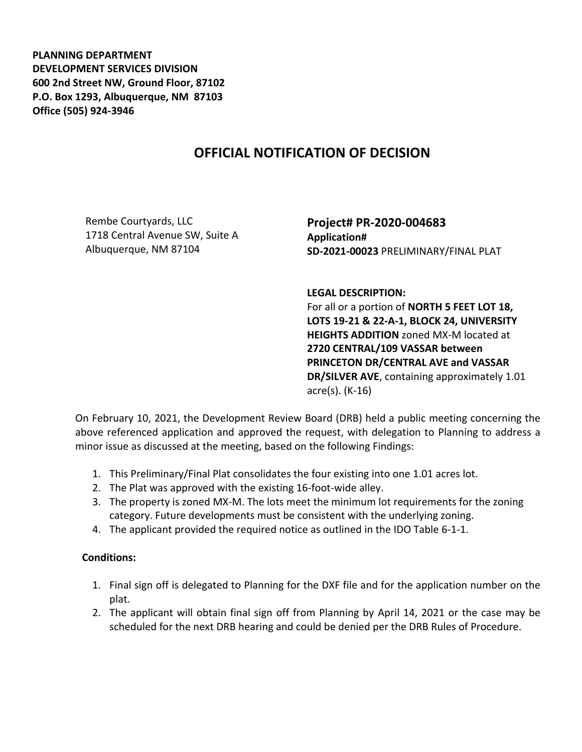**PLANNING DEPARTMENT DEVELOPMENT SERVICES DIVISION 600 2nd Street NW, Ground Floor, 87102 P.O. Box 1293, Albuquerque, NM 87103 Office (505) 924-3946** 

## **OFFICIAL NOTIFICATION OF DECISION**

Rembe Courtyards, LLC 1718 Central Avenue SW, Suite A Albuquerque, NM 87104

**Project# PR-2020-004683 Application# SD-2021-00023** PRELIMINARY/FINAL PLAT

**LEGAL DESCRIPTION:**

For all or a portion of **NORTH 5 FEET LOT 18, LOTS 19-21 & 22-A-1, BLOCK 24, UNIVERSITY HEIGHTS ADDITION** zoned MX-M located at **2720 CENTRAL/109 VASSAR between PRINCETON DR/CENTRAL AVE and VASSAR DR/SILVER AVE**, containing approximately 1.01 acre(s). (K-16)

On February 10, 2021, the Development Review Board (DRB) held a public meeting concerning the above referenced application and approved the request, with delegation to Planning to address a minor issue as discussed at the meeting, based on the following Findings:

- 1. This Preliminary/Final Plat consolidates the four existing into one 1.01 acres lot.
- 2. The Plat was approved with the existing 16-foot-wide alley.
- 3. The property is zoned MX-M. The lots meet the minimum lot requirements for the zoning category. Future developments must be consistent with the underlying zoning.
- 4. The applicant provided the required notice as outlined in the IDO Table 6-1-1.

## **Conditions:**

- 1. Final sign off is delegated to Planning for the DXF file and for the application number on the plat.
- 2. The applicant will obtain final sign off from Planning by April 14, 2021 or the case may be scheduled for the next DRB hearing and could be denied per the DRB Rules of Procedure.